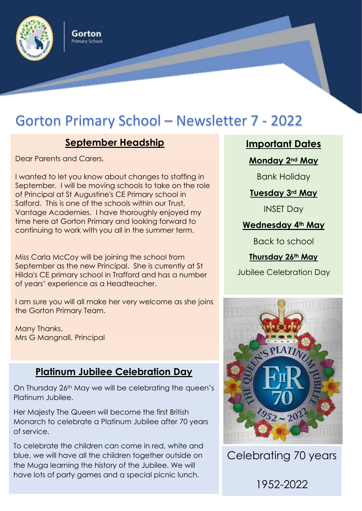

# Gorton Primary School – Newsletter 7 - 2022

# **September Headship**

Gorton Primary School

Dear Parents and Carers,

I wanted to let you know about changes to staffing in September. I will be moving schools to take on the role of Principal at St Augustine's CE Primary school in Salford. This is one of the schools within our Trust, Vantage Academies. I have thoroughly enjoyed my time here at Gorton Primary and looking forward to continuing to work with you all in the summer term.

Miss Carla McCoy will be joining the school from September as the new Principal. She is currently at St Hilda's CE primary school in Trafford and has a number of years' experience as a Headteacher.

I am sure you will all make her very welcome as she joins the Gorton Primary Team.

Many Thanks, Mrs G Mangnall, Principal

# **Platinum Jubilee Celebration Day**

On Thursday 26th May we will be celebrating the queen's Platinum Jubilee.

Her Majesty The Queen will become the first British Monarch to celebrate a Platinum Jubilee after 70 years of service.

To celebrate the children can come in red, white and blue, we will have all the children together outside on the Muga learning the history of the Jubilee. We will have lots of party games and a special picnic lunch.

**Important Dates**

**Monday 2nd May** 

Bank Holiday

#### **Tuesday 3rd May**

INSET Day

**Wednesday 4th May**

Back to school

**Thursday 26th May**

Jubilee Celebration Day



Celebrating 70 years

1952-2022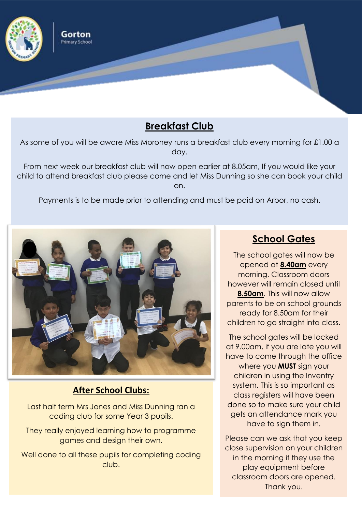

### **Breakfast Club**

As some of you will be aware Miss Moroney runs a breakfast club every morning for £1.00 a day.

From next week our breakfast club will now open earlier at 8.05am, If you would like your child to attend breakfast club please come and let Miss Dunning so she can book your child on.

Payments is to be made prior to attending and must be paid on Arbor, no cash.



#### **After School Clubs:**

Last half term Mrs Jones and Miss Dunning ran a coding club for some Year 3 pupils.

They really enjoyed learning how to programme games and design their own.

Well done to all these pupils for completing coding club.

# **School Gates**

The school gates will now be opened at **8.40am** every morning. Classroom doors however will remain closed until **8.50am**. This will now allow parents to be on school grounds ready for 8.50am for their children to go straight into class.

The school gates will be locked at 9.00am, if you are late you will have to come through the office where you **MUST** sign your children in using the Inventry system. This is so important as class registers will have been done so to make sure your child gets an attendance mark you have to sign them in.

Please can we ask that you keep close supervision on your children in the morning if they use the play equipment before classroom doors are opened. Thank you.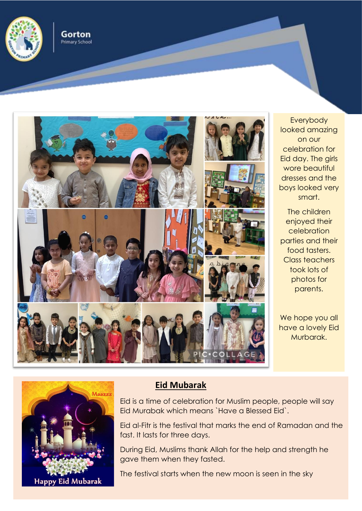

Gorton **Primary School** 



Everybody looked amazing on our celebration for Eid day. The girls wore beautiful dresses and the boys looked very smart.

The children enjoyed their celebration parties and their food tasters. Class teachers took lots of photos for parents.

We hope you all have a lovely Eid Murbarak.



#### **Eid Mubarak**

Eid is a time of celebration for Muslim people, people will say Eid Murabak which means `Have a Blessed Eid`.

Eid al-Fitr is the festival that marks the end of Ramadan and the fast. It lasts for three days.

During Eid, Muslims thank Allah for the help and strength he gave them when they fasted.

The festival starts when the new moon is seen in the sky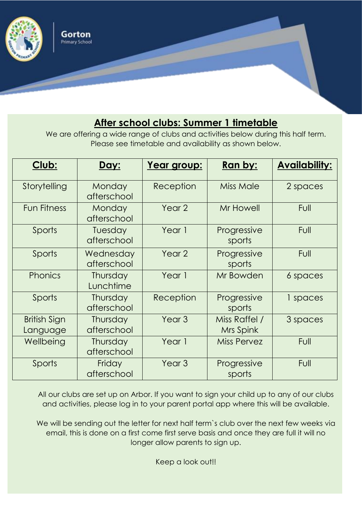

# **After school clubs: Summer 1 timetable**

We are offering a wide range of clubs and activities below during this half term. Please see timetable and availability as shown below.

| Club:                    | Day:                     | Year group:       | <b>Ran by:</b>             | <b>Availability:</b> |
|--------------------------|--------------------------|-------------------|----------------------------|----------------------|
| Storytelling             | Monday<br>afterschool    | Reception         | <b>Miss Male</b>           | 2 spaces             |
| <b>Fun Fitness</b>       | Monday<br>afterschool    | Year 2            | Mr Howell                  | <b>Full</b>          |
| Sports                   | Tuesday<br>afterschool   | Year 1            | Progressive<br>sports      | Full                 |
| Sports                   | Wednesday<br>afterschool | Year 2            | Progressive<br>sports      | <b>Full</b>          |
| Phonics                  | Thursday<br>Lunchtime    | Year 1            | Mr Bowden                  | 6 spaces             |
| Sports                   | Thursday<br>afterschool  | Reception         | Progressive<br>sports      | 1 spaces             |
| British Sign<br>Language | Thursday<br>afterschool  | Year <sub>3</sub> | Miss Raffel /<br>Mrs Spink | 3 spaces             |
| Wellbeing                | Thursday<br>afterschool  | Year 1            | <b>Miss Pervez</b>         | Full                 |
| Sports                   | Friday<br>afterschool    | Year <sub>3</sub> | Progressive<br>sports      | Full                 |

All our clubs are set up on Arbor. If you want to sign your child up to any of our clubs and activities, please log in to your parent portal app where this will be available.

We will be sending out the letter for next half term's club over the next few weeks via email, this is done on a first come first serve basis and once they are full it will no longer allow parents to sign up.

Keep a look out!!